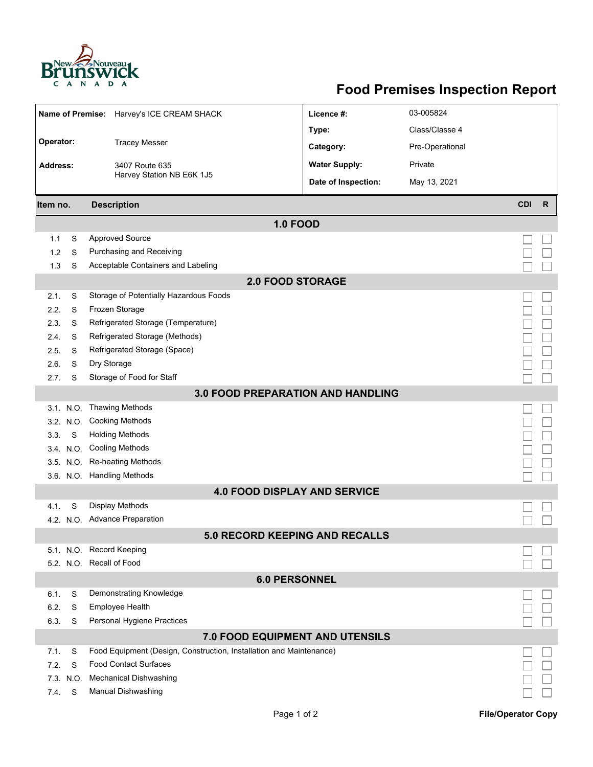

## **Food Premises Inspection Report**

| Name of Premise: Harvey's ICE CREAM SHACK |   | Licence #:                                                          | 03-005824            |                 |            |              |  |  |  |
|-------------------------------------------|---|---------------------------------------------------------------------|----------------------|-----------------|------------|--------------|--|--|--|
|                                           |   |                                                                     | Type:                | Class/Classe 4  |            |              |  |  |  |
| Operator:                                 |   | <b>Tracey Messer</b>                                                |                      |                 |            |              |  |  |  |
| <b>Address:</b>                           |   |                                                                     | Category:            | Pre-Operational |            |              |  |  |  |
|                                           |   | 3407 Route 635<br>Harvey Station NB E6K 1J5                         | <b>Water Supply:</b> | Private         |            |              |  |  |  |
|                                           |   |                                                                     | Date of Inspection:  | May 13, 2021    |            |              |  |  |  |
| Item no.                                  |   | <b>Description</b>                                                  |                      |                 | <b>CDI</b> | $\mathsf{R}$ |  |  |  |
| <b>1.0 FOOD</b>                           |   |                                                                     |                      |                 |            |              |  |  |  |
| 1.1                                       | S | <b>Approved Source</b>                                              |                      |                 |            |              |  |  |  |
| 1.2                                       | S | Purchasing and Receiving                                            |                      |                 |            |              |  |  |  |
| 1.3                                       | S | Acceptable Containers and Labeling                                  |                      |                 |            |              |  |  |  |
| <b>2.0 FOOD STORAGE</b>                   |   |                                                                     |                      |                 |            |              |  |  |  |
| 2.1.                                      | S | Storage of Potentially Hazardous Foods                              |                      |                 |            |              |  |  |  |
| 2.2.                                      | S | Frozen Storage                                                      |                      |                 |            |              |  |  |  |
| 2.3.                                      | S | Refrigerated Storage (Temperature)                                  |                      |                 |            |              |  |  |  |
| 2.4.                                      | S | Refrigerated Storage (Methods)                                      |                      |                 |            |              |  |  |  |
| 2.5.                                      | S | Refrigerated Storage (Space)                                        |                      |                 |            |              |  |  |  |
| 2.6.                                      | S | Dry Storage                                                         |                      |                 |            |              |  |  |  |
| 2.7.                                      | S | Storage of Food for Staff                                           |                      |                 |            |              |  |  |  |
| <b>3.0 FOOD PREPARATION AND HANDLING</b>  |   |                                                                     |                      |                 |            |              |  |  |  |
| 3.1 N.O.                                  |   | <b>Thawing Methods</b>                                              |                      |                 |            |              |  |  |  |
| 3.2. N.O.                                 |   | <b>Cooking Methods</b>                                              |                      |                 |            |              |  |  |  |
| 3.3.                                      | S | <b>Holding Methods</b>                                              |                      |                 |            |              |  |  |  |
| 3.4 N.O.                                  |   | <b>Cooling Methods</b>                                              |                      |                 |            |              |  |  |  |
|                                           |   | 3.5. N.O. Re-heating Methods                                        |                      |                 |            |              |  |  |  |
|                                           |   | 3.6. N.O. Handling Methods                                          |                      |                 |            |              |  |  |  |
| <b>4.0 FOOD DISPLAY AND SERVICE</b>       |   |                                                                     |                      |                 |            |              |  |  |  |
| 4.1.                                      | S | Display Methods                                                     |                      |                 |            |              |  |  |  |
| <b>Advance Preparation</b><br>4.2. N.O.   |   |                                                                     |                      |                 |            |              |  |  |  |
| 5.0 RECORD KEEPING AND RECALLS            |   |                                                                     |                      |                 |            |              |  |  |  |
|                                           |   | 5.1. N.O. Record Keeping<br>5.2. N.O. Recall of Food                |                      |                 |            |              |  |  |  |
|                                           |   |                                                                     |                      |                 |            |              |  |  |  |
|                                           |   | <b>6.0 PERSONNEL</b>                                                |                      |                 |            |              |  |  |  |
| 6.1.                                      | S | Demonstrating Knowledge                                             |                      |                 |            |              |  |  |  |
| 6.2.                                      | S | Employee Health<br>Personal Hygiene Practices                       |                      |                 |            |              |  |  |  |
| 6.3.                                      | S |                                                                     |                      |                 |            |              |  |  |  |
| 7.0 FOOD EQUIPMENT AND UTENSILS           |   |                                                                     |                      |                 |            |              |  |  |  |
| 7.1.                                      | S | Food Equipment (Design, Construction, Installation and Maintenance) |                      |                 |            |              |  |  |  |
| 7.2.                                      | S | <b>Food Contact Surfaces</b>                                        |                      |                 |            |              |  |  |  |
| 7.3. N.O.                                 |   | <b>Mechanical Dishwashing</b>                                       |                      |                 |            |              |  |  |  |
| 7.4.                                      | S | Manual Dishwashing                                                  |                      |                 |            |              |  |  |  |